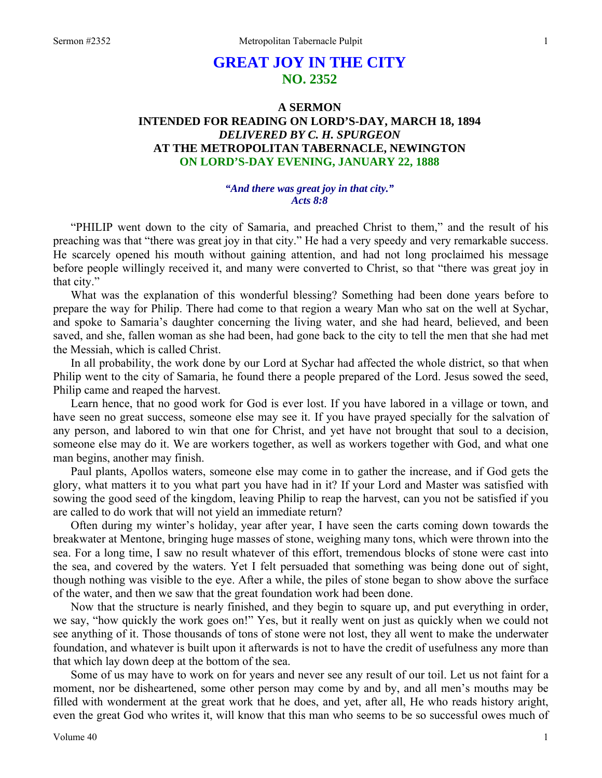# **GREAT JOY IN THE CITY NO. 2352**

## **A SERMON INTENDED FOR READING ON LORD'S-DAY, MARCH 18, 1894**  *DELIVERED BY C. H. SPURGEON*  **AT THE METROPOLITAN TABERNACLE, NEWINGTON ON LORD'S-DAY EVENING, JANUARY 22, 1888**

### *"And there was great joy in that city." Acts 8:8*

"PHILIP went down to the city of Samaria, and preached Christ to them," and the result of his preaching was that "there was great joy in that city." He had a very speedy and very remarkable success. He scarcely opened his mouth without gaining attention, and had not long proclaimed his message before people willingly received it, and many were converted to Christ, so that "there was great joy in that city."

What was the explanation of this wonderful blessing? Something had been done years before to prepare the way for Philip. There had come to that region a weary Man who sat on the well at Sychar, and spoke to Samaria's daughter concerning the living water, and she had heard, believed, and been saved, and she, fallen woman as she had been, had gone back to the city to tell the men that she had met the Messiah, which is called Christ.

In all probability, the work done by our Lord at Sychar had affected the whole district, so that when Philip went to the city of Samaria, he found there a people prepared of the Lord. Jesus sowed the seed, Philip came and reaped the harvest.

Learn hence, that no good work for God is ever lost. If you have labored in a village or town, and have seen no great success, someone else may see it. If you have prayed specially for the salvation of any person, and labored to win that one for Christ, and yet have not brought that soul to a decision, someone else may do it. We are workers together, as well as workers together with God, and what one man begins, another may finish.

Paul plants, Apollos waters, someone else may come in to gather the increase, and if God gets the glory, what matters it to you what part you have had in it? If your Lord and Master was satisfied with sowing the good seed of the kingdom, leaving Philip to reap the harvest, can you not be satisfied if you are called to do work that will not yield an immediate return?

Often during my winter's holiday, year after year, I have seen the carts coming down towards the breakwater at Mentone, bringing huge masses of stone, weighing many tons, which were thrown into the sea. For a long time, I saw no result whatever of this effort, tremendous blocks of stone were cast into the sea, and covered by the waters. Yet I felt persuaded that something was being done out of sight, though nothing was visible to the eye. After a while, the piles of stone began to show above the surface of the water, and then we saw that the great foundation work had been done.

Now that the structure is nearly finished, and they begin to square up, and put everything in order, we say, "how quickly the work goes on!" Yes, but it really went on just as quickly when we could not see anything of it. Those thousands of tons of stone were not lost, they all went to make the underwater foundation, and whatever is built upon it afterwards is not to have the credit of usefulness any more than that which lay down deep at the bottom of the sea.

Some of us may have to work on for years and never see any result of our toil. Let us not faint for a moment, nor be disheartened, some other person may come by and by, and all men's mouths may be filled with wonderment at the great work that he does, and yet, after all, He who reads history aright, even the great God who writes it, will know that this man who seems to be so successful owes much of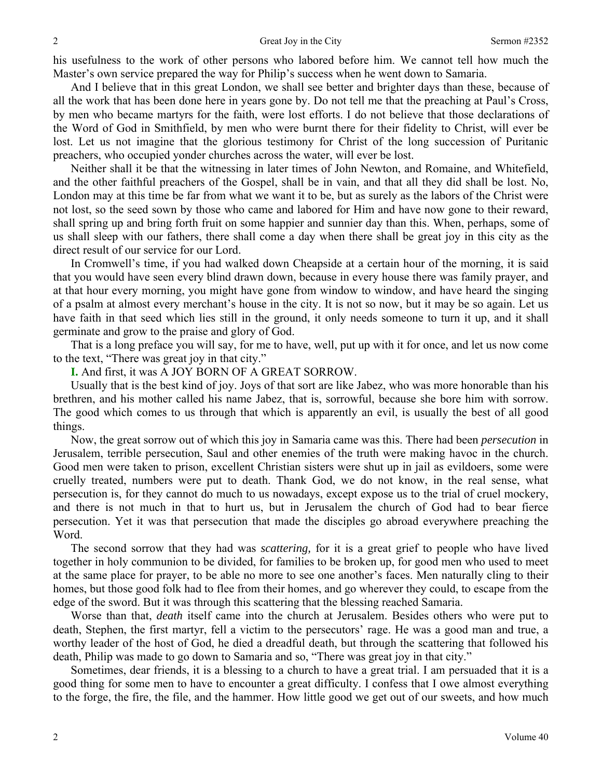his usefulness to the work of other persons who labored before him. We cannot tell how much the Master's own service prepared the way for Philip's success when he went down to Samaria.

And I believe that in this great London, we shall see better and brighter days than these, because of all the work that has been done here in years gone by. Do not tell me that the preaching at Paul's Cross, by men who became martyrs for the faith, were lost efforts. I do not believe that those declarations of the Word of God in Smithfield, by men who were burnt there for their fidelity to Christ, will ever be lost. Let us not imagine that the glorious testimony for Christ of the long succession of Puritanic preachers, who occupied yonder churches across the water, will ever be lost.

Neither shall it be that the witnessing in later times of John Newton, and Romaine, and Whitefield, and the other faithful preachers of the Gospel, shall be in vain, and that all they did shall be lost. No, London may at this time be far from what we want it to be, but as surely as the labors of the Christ were not lost, so the seed sown by those who came and labored for Him and have now gone to their reward, shall spring up and bring forth fruit on some happier and sunnier day than this. When, perhaps, some of us shall sleep with our fathers, there shall come a day when there shall be great joy in this city as the direct result of our service for our Lord.

In Cromwell's time, if you had walked down Cheapside at a certain hour of the morning, it is said that you would have seen every blind drawn down, because in every house there was family prayer, and at that hour every morning, you might have gone from window to window, and have heard the singing of a psalm at almost every merchant's house in the city. It is not so now, but it may be so again. Let us have faith in that seed which lies still in the ground, it only needs someone to turn it up, and it shall germinate and grow to the praise and glory of God.

That is a long preface you will say, for me to have, well, put up with it for once, and let us now come to the text, "There was great joy in that city."

**I.** And first, it was A JOY BORN OF A GREAT SORROW.

Usually that is the best kind of joy. Joys of that sort are like Jabez, who was more honorable than his brethren, and his mother called his name Jabez, that is, sorrowful, because she bore him with sorrow. The good which comes to us through that which is apparently an evil, is usually the best of all good things.

Now, the great sorrow out of which this joy in Samaria came was this. There had been *persecution* in Jerusalem, terrible persecution, Saul and other enemies of the truth were making havoc in the church. Good men were taken to prison, excellent Christian sisters were shut up in jail as evildoers, some were cruelly treated, numbers were put to death. Thank God, we do not know, in the real sense, what persecution is, for they cannot do much to us nowadays, except expose us to the trial of cruel mockery, and there is not much in that to hurt us, but in Jerusalem the church of God had to bear fierce persecution. Yet it was that persecution that made the disciples go abroad everywhere preaching the Word.

The second sorrow that they had was *scattering,* for it is a great grief to people who have lived together in holy communion to be divided, for families to be broken up, for good men who used to meet at the same place for prayer, to be able no more to see one another's faces. Men naturally cling to their homes, but those good folk had to flee from their homes, and go wherever they could, to escape from the edge of the sword. But it was through this scattering that the blessing reached Samaria.

Worse than that, *death* itself came into the church at Jerusalem. Besides others who were put to death, Stephen, the first martyr, fell a victim to the persecutors' rage. He was a good man and true, a worthy leader of the host of God, he died a dreadful death, but through the scattering that followed his death, Philip was made to go down to Samaria and so, "There was great joy in that city."

Sometimes, dear friends, it is a blessing to a church to have a great trial. I am persuaded that it is a good thing for some men to have to encounter a great difficulty. I confess that I owe almost everything to the forge, the fire, the file, and the hammer. How little good we get out of our sweets, and how much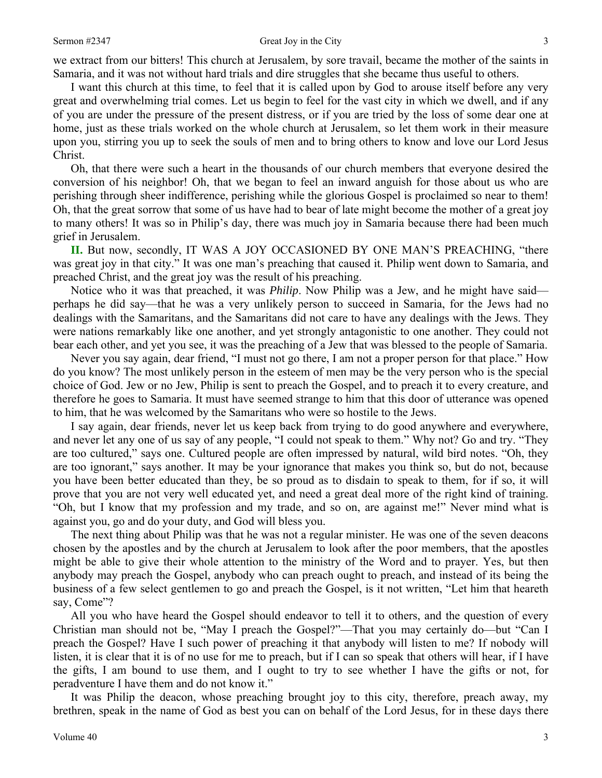we extract from our bitters! This church at Jerusalem, by sore travail, became the mother of the saints in Samaria, and it was not without hard trials and dire struggles that she became thus useful to others.

I want this church at this time, to feel that it is called upon by God to arouse itself before any very great and overwhelming trial comes. Let us begin to feel for the vast city in which we dwell, and if any of you are under the pressure of the present distress, or if you are tried by the loss of some dear one at home, just as these trials worked on the whole church at Jerusalem, so let them work in their measure upon you, stirring you up to seek the souls of men and to bring others to know and love our Lord Jesus Christ.

Oh, that there were such a heart in the thousands of our church members that everyone desired the conversion of his neighbor! Oh, that we began to feel an inward anguish for those about us who are perishing through sheer indifference, perishing while the glorious Gospel is proclaimed so near to them! Oh, that the great sorrow that some of us have had to bear of late might become the mother of a great joy to many others! It was so in Philip's day, there was much joy in Samaria because there had been much grief in Jerusalem.

**II.** But now, secondly, IT WAS A JOY OCCASIONED BY ONE MAN'S PREACHING, "there was great joy in that city." It was one man's preaching that caused it. Philip went down to Samaria, and preached Christ, and the great joy was the result of his preaching.

Notice who it was that preached, it was *Philip*. Now Philip was a Jew, and he might have said perhaps he did say—that he was a very unlikely person to succeed in Samaria, for the Jews had no dealings with the Samaritans, and the Samaritans did not care to have any dealings with the Jews. They were nations remarkably like one another, and yet strongly antagonistic to one another. They could not bear each other, and yet you see, it was the preaching of a Jew that was blessed to the people of Samaria.

Never you say again, dear friend, "I must not go there, I am not a proper person for that place." How do you know? The most unlikely person in the esteem of men may be the very person who is the special choice of God. Jew or no Jew, Philip is sent to preach the Gospel, and to preach it to every creature, and therefore he goes to Samaria. It must have seemed strange to him that this door of utterance was opened to him, that he was welcomed by the Samaritans who were so hostile to the Jews.

I say again, dear friends, never let us keep back from trying to do good anywhere and everywhere, and never let any one of us say of any people, "I could not speak to them." Why not? Go and try. "They are too cultured," says one. Cultured people are often impressed by natural, wild bird notes. "Oh, they are too ignorant," says another. It may be your ignorance that makes you think so, but do not, because you have been better educated than they, be so proud as to disdain to speak to them, for if so, it will prove that you are not very well educated yet, and need a great deal more of the right kind of training. "Oh, but I know that my profession and my trade, and so on, are against me!" Never mind what is against you, go and do your duty, and God will bless you.

The next thing about Philip was that he was not a regular minister. He was one of the seven deacons chosen by the apostles and by the church at Jerusalem to look after the poor members, that the apostles might be able to give their whole attention to the ministry of the Word and to prayer. Yes, but then anybody may preach the Gospel, anybody who can preach ought to preach, and instead of its being the business of a few select gentlemen to go and preach the Gospel, is it not written, "Let him that heareth say, Come"?

All you who have heard the Gospel should endeavor to tell it to others, and the question of every Christian man should not be, "May I preach the Gospel?"—That you may certainly do—but "Can I preach the Gospel? Have I such power of preaching it that anybody will listen to me? If nobody will listen, it is clear that it is of no use for me to preach, but if I can so speak that others will hear, if I have the gifts, I am bound to use them, and I ought to try to see whether I have the gifts or not, for peradventure I have them and do not know it."

It was Philip the deacon, whose preaching brought joy to this city, therefore, preach away, my brethren, speak in the name of God as best you can on behalf of the Lord Jesus, for in these days there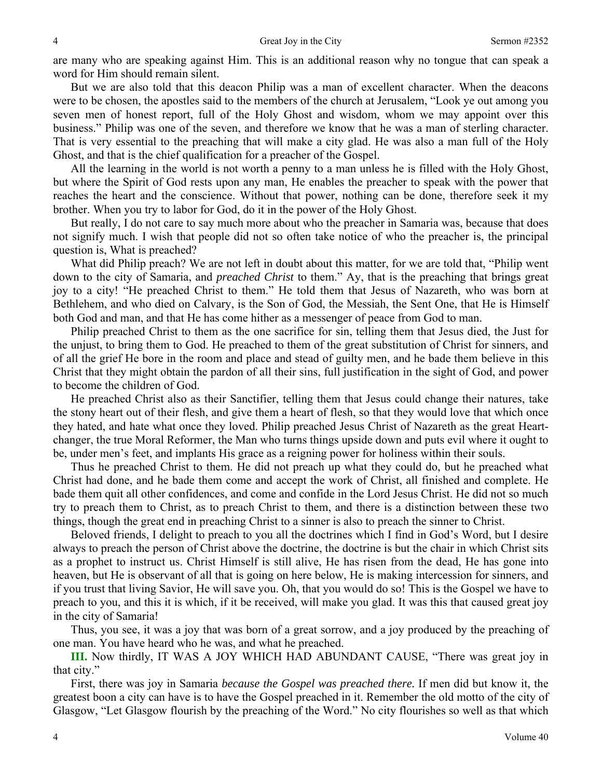are many who are speaking against Him. This is an additional reason why no tongue that can speak a word for Him should remain silent.

But we are also told that this deacon Philip was a man of excellent character. When the deacons were to be chosen, the apostles said to the members of the church at Jerusalem, "Look ye out among you seven men of honest report, full of the Holy Ghost and wisdom, whom we may appoint over this business." Philip was one of the seven, and therefore we know that he was a man of sterling character. That is very essential to the preaching that will make a city glad. He was also a man full of the Holy Ghost, and that is the chief qualification for a preacher of the Gospel.

All the learning in the world is not worth a penny to a man unless he is filled with the Holy Ghost, but where the Spirit of God rests upon any man, He enables the preacher to speak with the power that reaches the heart and the conscience. Without that power, nothing can be done, therefore seek it my brother. When you try to labor for God, do it in the power of the Holy Ghost.

But really, I do not care to say much more about who the preacher in Samaria was, because that does not signify much. I wish that people did not so often take notice of who the preacher is, the principal question is, What is preached?

What did Philip preach? We are not left in doubt about this matter, for we are told that, "Philip went down to the city of Samaria, and *preached Christ* to them." Ay, that is the preaching that brings great joy to a city! "He preached Christ to them." He told them that Jesus of Nazareth, who was born at Bethlehem, and who died on Calvary, is the Son of God, the Messiah, the Sent One, that He is Himself both God and man, and that He has come hither as a messenger of peace from God to man.

Philip preached Christ to them as the one sacrifice for sin, telling them that Jesus died, the Just for the unjust, to bring them to God. He preached to them of the great substitution of Christ for sinners, and of all the grief He bore in the room and place and stead of guilty men, and he bade them believe in this Christ that they might obtain the pardon of all their sins, full justification in the sight of God, and power to become the children of God.

He preached Christ also as their Sanctifier, telling them that Jesus could change their natures, take the stony heart out of their flesh, and give them a heart of flesh, so that they would love that which once they hated, and hate what once they loved. Philip preached Jesus Christ of Nazareth as the great Heartchanger, the true Moral Reformer, the Man who turns things upside down and puts evil where it ought to be, under men's feet, and implants His grace as a reigning power for holiness within their souls.

Thus he preached Christ to them. He did not preach up what they could do, but he preached what Christ had done, and he bade them come and accept the work of Christ, all finished and complete. He bade them quit all other confidences, and come and confide in the Lord Jesus Christ. He did not so much try to preach them to Christ, as to preach Christ to them, and there is a distinction between these two things, though the great end in preaching Christ to a sinner is also to preach the sinner to Christ.

Beloved friends, I delight to preach to you all the doctrines which I find in God's Word, but I desire always to preach the person of Christ above the doctrine, the doctrine is but the chair in which Christ sits as a prophet to instruct us. Christ Himself is still alive, He has risen from the dead, He has gone into heaven, but He is observant of all that is going on here below, He is making intercession for sinners, and if you trust that living Savior, He will save you. Oh, that you would do so! This is the Gospel we have to preach to you, and this it is which, if it be received, will make you glad. It was this that caused great joy in the city of Samaria!

Thus, you see, it was a joy that was born of a great sorrow, and a joy produced by the preaching of one man. You have heard who he was, and what he preached.

**III.** Now thirdly, IT WAS A JOY WHICH HAD ABUNDANT CAUSE, "There was great joy in that city."

First, there was joy in Samaria *because the Gospel was preached there.* If men did but know it, the greatest boon a city can have is to have the Gospel preached in it. Remember the old motto of the city of Glasgow, "Let Glasgow flourish by the preaching of the Word." No city flourishes so well as that which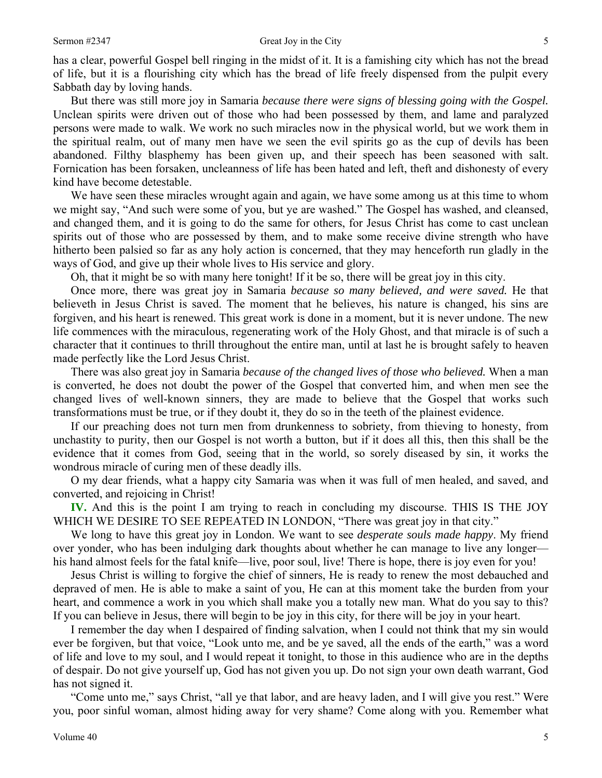has a clear, powerful Gospel bell ringing in the midst of it. It is a famishing city which has not the bread of life, but it is a flourishing city which has the bread of life freely dispensed from the pulpit every Sabbath day by loving hands.

But there was still more joy in Samaria *because there were signs of blessing going with the Gospel.*  Unclean spirits were driven out of those who had been possessed by them, and lame and paralyzed persons were made to walk. We work no such miracles now in the physical world, but we work them in the spiritual realm, out of many men have we seen the evil spirits go as the cup of devils has been abandoned. Filthy blasphemy has been given up, and their speech has been seasoned with salt. Fornication has been forsaken, uncleanness of life has been hated and left, theft and dishonesty of every kind have become detestable.

We have seen these miracles wrought again and again, we have some among us at this time to whom we might say, "And such were some of you, but ye are washed." The Gospel has washed, and cleansed, and changed them, and it is going to do the same for others, for Jesus Christ has come to cast unclean spirits out of those who are possessed by them, and to make some receive divine strength who have hitherto been palsied so far as any holy action is concerned, that they may henceforth run gladly in the ways of God, and give up their whole lives to His service and glory.

Oh, that it might be so with many here tonight! If it be so, there will be great joy in this city.

Once more, there was great joy in Samaria *because so many believed, and were saved.* He that believeth in Jesus Christ is saved. The moment that he believes, his nature is changed, his sins are forgiven, and his heart is renewed. This great work is done in a moment, but it is never undone. The new life commences with the miraculous, regenerating work of the Holy Ghost, and that miracle is of such a character that it continues to thrill throughout the entire man, until at last he is brought safely to heaven made perfectly like the Lord Jesus Christ.

There was also great joy in Samaria *because of the changed lives of those who believed.* When a man is converted, he does not doubt the power of the Gospel that converted him, and when men see the changed lives of well-known sinners, they are made to believe that the Gospel that works such transformations must be true, or if they doubt it, they do so in the teeth of the plainest evidence.

If our preaching does not turn men from drunkenness to sobriety, from thieving to honesty, from unchastity to purity, then our Gospel is not worth a button, but if it does all this, then this shall be the evidence that it comes from God, seeing that in the world, so sorely diseased by sin, it works the wondrous miracle of curing men of these deadly ills.

O my dear friends, what a happy city Samaria was when it was full of men healed, and saved, and converted, and rejoicing in Christ!

**IV.** And this is the point I am trying to reach in concluding my discourse. THIS IS THE JOY WHICH WE DESIRE TO SEE REPEATED IN LONDON, "There was great joy in that city."

We long to have this great joy in London. We want to see *desperate souls made happy*. My friend over yonder, who has been indulging dark thoughts about whether he can manage to live any longer his hand almost feels for the fatal knife—live, poor soul, live! There is hope, there is joy even for you!

Jesus Christ is willing to forgive the chief of sinners, He is ready to renew the most debauched and depraved of men. He is able to make a saint of you, He can at this moment take the burden from your heart, and commence a work in you which shall make you a totally new man. What do you say to this? If you can believe in Jesus, there will begin to be joy in this city, for there will be joy in your heart.

I remember the day when I despaired of finding salvation, when I could not think that my sin would ever be forgiven, but that voice, "Look unto me, and be ye saved, all the ends of the earth," was a word of life and love to my soul, and I would repeat it tonight, to those in this audience who are in the depths of despair. Do not give yourself up, God has not given you up. Do not sign your own death warrant, God has not signed it.

"Come unto me," says Christ, "all ye that labor, and are heavy laden, and I will give you rest." Were you, poor sinful woman, almost hiding away for very shame? Come along with you. Remember what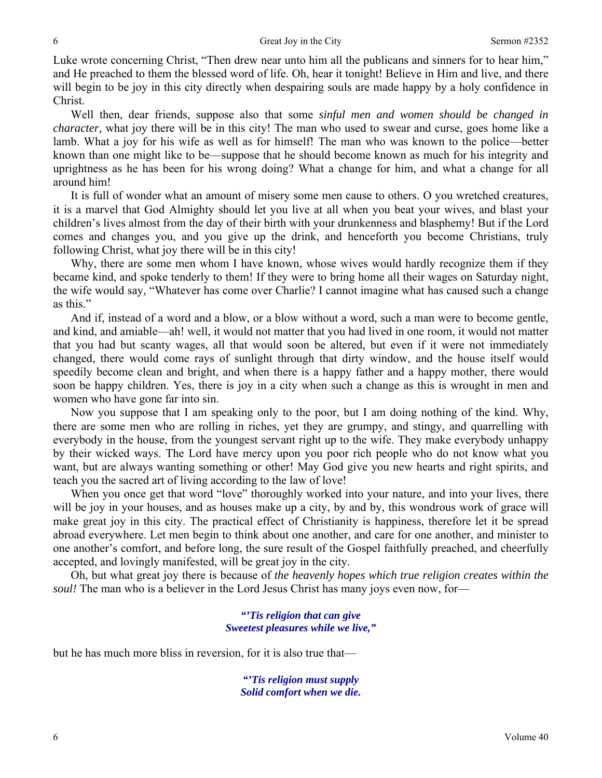Luke wrote concerning Christ, "Then drew near unto him all the publicans and sinners for to hear him," and He preached to them the blessed word of life. Oh, hear it tonight! Believe in Him and live, and there will begin to be joy in this city directly when despairing souls are made happy by a holy confidence in Christ.

Well then, dear friends, suppose also that some *sinful men and women should be changed in character*, what joy there will be in this city! The man who used to swear and curse, goes home like a lamb. What a joy for his wife as well as for himself! The man who was known to the police—better known than one might like to be—suppose that he should become known as much for his integrity and uprightness as he has been for his wrong doing? What a change for him, and what a change for all around him!

It is full of wonder what an amount of misery some men cause to others. O you wretched creatures, it is a marvel that God Almighty should let you live at all when you beat your wives, and blast your children's lives almost from the day of their birth with your drunkenness and blasphemy! But if the Lord comes and changes you, and you give up the drink, and henceforth you become Christians, truly following Christ, what joy there will be in this city!

Why, there are some men whom I have known, whose wives would hardly recognize them if they became kind, and spoke tenderly to them! If they were to bring home all their wages on Saturday night, the wife would say, "Whatever has come over Charlie? I cannot imagine what has caused such a change as this."

And if, instead of a word and a blow, or a blow without a word, such a man were to become gentle, and kind, and amiable—ah! well, it would not matter that you had lived in one room, it would not matter that you had but scanty wages, all that would soon be altered, but even if it were not immediately changed, there would come rays of sunlight through that dirty window, and the house itself would speedily become clean and bright, and when there is a happy father and a happy mother, there would soon be happy children. Yes, there is joy in a city when such a change as this is wrought in men and women who have gone far into sin.

Now you suppose that I am speaking only to the poor, but I am doing nothing of the kind. Why, there are some men who are rolling in riches, yet they are grumpy, and stingy, and quarrelling with everybody in the house, from the youngest servant right up to the wife. They make everybody unhappy by their wicked ways. The Lord have mercy upon you poor rich people who do not know what you want, but are always wanting something or other! May God give you new hearts and right spirits, and teach you the sacred art of living according to the law of love!

When you once get that word "love" thoroughly worked into your nature, and into your lives, there will be joy in your houses, and as houses make up a city, by and by, this wondrous work of grace will make great joy in this city. The practical effect of Christianity is happiness, therefore let it be spread abroad everywhere. Let men begin to think about one another, and care for one another, and minister to one another's comfort, and before long, the sure result of the Gospel faithfully preached, and cheerfully accepted, and lovingly manifested, will be great joy in the city.

Oh, but what great joy there is because of *the heavenly hopes which true religion creates within the soul!* The man who is a believer in the Lord Jesus Christ has many joys even now, for—

> *"'Tis religion that can give Sweetest pleasures while we live,"*

but he has much more bliss in reversion, for it is also true that—

*"'Tis religion must supply Solid comfort when we die.*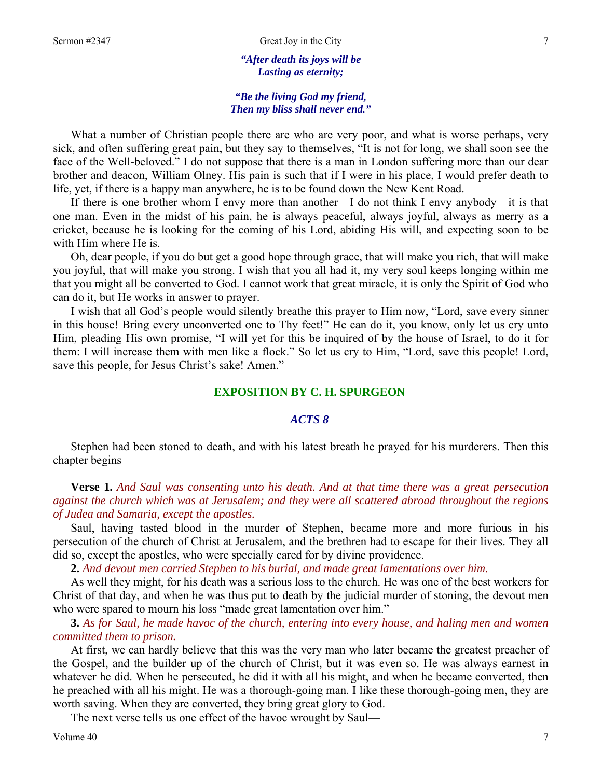*"After death its joys will be Lasting as eternity;* 

## *"Be the living God my friend, Then my bliss shall never end."*

What a number of Christian people there are who are very poor, and what is worse perhaps, very sick, and often suffering great pain, but they say to themselves, "It is not for long, we shall soon see the face of the Well-beloved." I do not suppose that there is a man in London suffering more than our dear brother and deacon, William Olney. His pain is such that if I were in his place, I would prefer death to life, yet, if there is a happy man anywhere, he is to be found down the New Kent Road.

If there is one brother whom I envy more than another—I do not think I envy anybody—it is that one man. Even in the midst of his pain, he is always peaceful, always joyful, always as merry as a cricket, because he is looking for the coming of his Lord, abiding His will, and expecting soon to be with Him where He is.

Oh, dear people, if you do but get a good hope through grace, that will make you rich, that will make you joyful, that will make you strong. I wish that you all had it, my very soul keeps longing within me that you might all be converted to God. I cannot work that great miracle, it is only the Spirit of God who can do it, but He works in answer to prayer.

I wish that all God's people would silently breathe this prayer to Him now, "Lord, save every sinner in this house! Bring every unconverted one to Thy feet!" He can do it, you know, only let us cry unto Him, pleading His own promise, "I will yet for this be inquired of by the house of Israel, to do it for them: I will increase them with men like a flock." So let us cry to Him, "Lord, save this people! Lord, save this people, for Jesus Christ's sake! Amen."

## **EXPOSITION BY C. H. SPURGEON**

## *ACTS 8*

Stephen had been stoned to death, and with his latest breath he prayed for his murderers. Then this chapter begins—

**Verse 1.** *And Saul was consenting unto his death. And at that time there was a great persecution against the church which was at Jerusalem; and they were all scattered abroad throughout the regions of Judea and Samaria, except the apostles.* 

Saul, having tasted blood in the murder of Stephen, became more and more furious in his persecution of the church of Christ at Jerusalem, and the brethren had to escape for their lives. They all did so, except the apostles, who were specially cared for by divine providence.

**2.** *And devout men carried Stephen to his burial, and made great lamentations over him.* 

As well they might, for his death was a serious loss to the church. He was one of the best workers for Christ of that day, and when he was thus put to death by the judicial murder of stoning, the devout men who were spared to mourn his loss "made great lamentation over him."

**3.** *As for Saul, he made havoc of the church, entering into every house, and haling men and women committed them to prison.* 

At first, we can hardly believe that this was the very man who later became the greatest preacher of the Gospel, and the builder up of the church of Christ, but it was even so. He was always earnest in whatever he did. When he persecuted, he did it with all his might, and when he became converted, then he preached with all his might. He was a thorough-going man. I like these thorough-going men, they are worth saving. When they are converted, they bring great glory to God.

The next verse tells us one effect of the havoc wrought by Saul—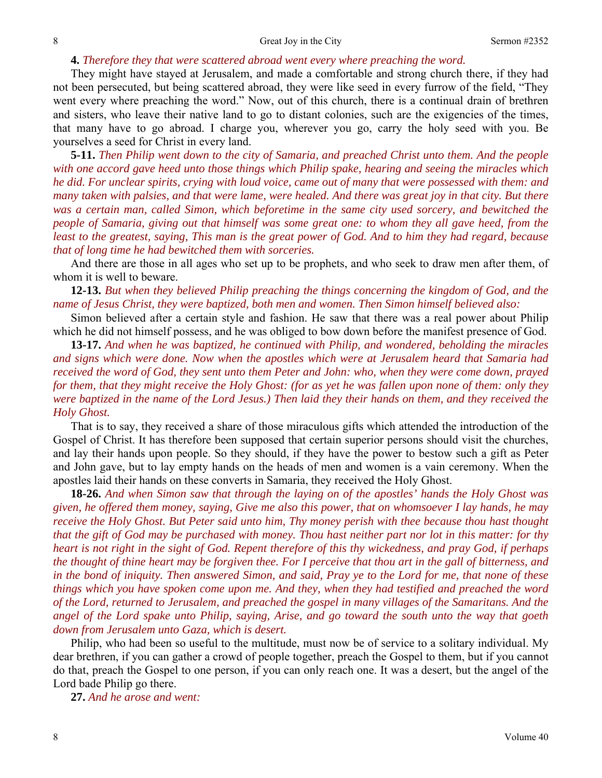#### **4.** *Therefore they that were scattered abroad went every where preaching the word.*

They might have stayed at Jerusalem, and made a comfortable and strong church there, if they had not been persecuted, but being scattered abroad, they were like seed in every furrow of the field, "They went every where preaching the word." Now, out of this church, there is a continual drain of brethren and sisters, who leave their native land to go to distant colonies, such are the exigencies of the times, that many have to go abroad. I charge you, wherever you go, carry the holy seed with you. Be yourselves a seed for Christ in every land.

**5-11.** *Then Philip went down to the city of Samaria, and preached Christ unto them. And the people with one accord gave heed unto those things which Philip spake, hearing and seeing the miracles which he did. For unclear spirits, crying with loud voice, came out of many that were possessed with them: and many taken with palsies, and that were lame, were healed. And there was great joy in that city. But there was a certain man, called Simon, which beforetime in the same city used sorcery, and bewitched the people of Samaria, giving out that himself was some great one: to whom they all gave heed, from the least to the greatest, saying, This man is the great power of God. And to him they had regard, because that of long time he had bewitched them with sorceries.* 

And there are those in all ages who set up to be prophets, and who seek to draw men after them, of whom it is well to beware.

**12-13.** *But when they believed Philip preaching the things concerning the kingdom of God, and the name of Jesus Christ, they were baptized, both men and women. Then Simon himself believed also:* 

Simon believed after a certain style and fashion. He saw that there was a real power about Philip which he did not himself possess, and he was obliged to bow down before the manifest presence of God.

**13-17.** *And when he was baptized, he continued with Philip, and wondered, beholding the miracles and signs which were done. Now when the apostles which were at Jerusalem heard that Samaria had received the word of God, they sent unto them Peter and John: who, when they were come down, prayed for them, that they might receive the Holy Ghost: (for as yet he was fallen upon none of them: only they were baptized in the name of the Lord Jesus.) Then laid they their hands on them, and they received the Holy Ghost.* 

That is to say, they received a share of those miraculous gifts which attended the introduction of the Gospel of Christ. It has therefore been supposed that certain superior persons should visit the churches, and lay their hands upon people. So they should, if they have the power to bestow such a gift as Peter and John gave, but to lay empty hands on the heads of men and women is a vain ceremony. When the apostles laid their hands on these converts in Samaria, they received the Holy Ghost.

**18-26.** *And when Simon saw that through the laying on of the apostles' hands the Holy Ghost was given, he offered them money, saying, Give me also this power, that on whomsoever I lay hands, he may receive the Holy Ghost. But Peter said unto him, Thy money perish with thee because thou hast thought that the gift of God may be purchased with money. Thou hast neither part nor lot in this matter: for thy heart is not right in the sight of God. Repent therefore of this thy wickedness, and pray God, if perhaps the thought of thine heart may be forgiven thee. For I perceive that thou art in the gall of bitterness, and in the bond of iniquity. Then answered Simon, and said, Pray ye to the Lord for me, that none of these things which you have spoken come upon me. And they, when they had testified and preached the word of the Lord, returned to Jerusalem, and preached the gospel in many villages of the Samaritans. And the angel of the Lord spake unto Philip, saying, Arise, and go toward the south unto the way that goeth down from Jerusalem unto Gaza, which is desert.* 

Philip, who had been so useful to the multitude, must now be of service to a solitary individual. My dear brethren, if you can gather a crowd of people together, preach the Gospel to them, but if you cannot do that, preach the Gospel to one person, if you can only reach one. It was a desert, but the angel of the Lord bade Philip go there.

**27.** *And he arose and went:*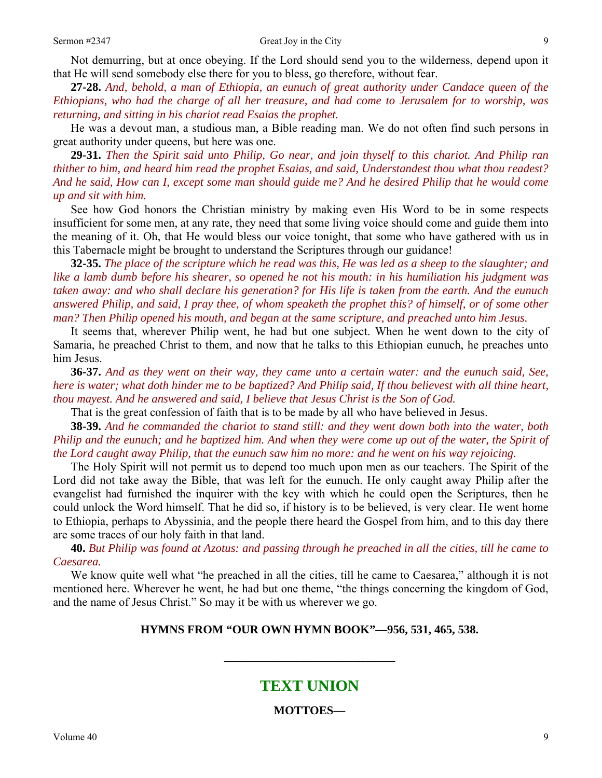Not demurring, but at once obeying. If the Lord should send you to the wilderness, depend upon it that He will send somebody else there for you to bless, go therefore, without fear.

**27-28.** *And, behold, a man of Ethiopia, an eunuch of great authority under Candace queen of the Ethiopians, who had the charge of all her treasure, and had come to Jerusalem for to worship, was returning, and sitting in his chariot read Esaias the prophet.* 

He was a devout man, a studious man, a Bible reading man. We do not often find such persons in great authority under queens, but here was one.

**29-31.** *Then the Spirit said unto Philip, Go near, and join thyself to this chariot. And Philip ran thither to him, and heard him read the prophet Esaias, and said, Understandest thou what thou readest? And he said, How can I, except some man should guide me? And he desired Philip that he would come up and sit with him.* 

See how God honors the Christian ministry by making even His Word to be in some respects insufficient for some men, at any rate, they need that some living voice should come and guide them into the meaning of it. Oh, that He would bless our voice tonight, that some who have gathered with us in this Tabernacle might be brought to understand the Scriptures through our guidance!

**32-35.** *The place of the scripture which he read was this, He was led as a sheep to the slaughter; and like a lamb dumb before his shearer, so opened he not his mouth: in his humiliation his judgment was taken away: and who shall declare his generation? for His life is taken from the earth. And the eunuch answered Philip, and said, I pray thee, of whom speaketh the prophet this? of himself, or of some other man? Then Philip opened his mouth, and began at the same scripture, and preached unto him Jesus.* 

It seems that, wherever Philip went, he had but one subject. When he went down to the city of Samaria, he preached Christ to them, and now that he talks to this Ethiopian eunuch, he preaches unto him Jesus.

**36-37.** *And as they went on their way, they came unto a certain water: and the eunuch said, See, here is water; what doth hinder me to be baptized? And Philip said, If thou believest with all thine heart, thou mayest. And he answered and said, I believe that Jesus Christ is the Son of God.* 

That is the great confession of faith that is to be made by all who have believed in Jesus.

**38-39.** *And he commanded the chariot to stand still: and they went down both into the water, both Philip and the eunuch; and he baptized him. And when they were come up out of the water, the Spirit of the Lord caught away Philip, that the eunuch saw him no more: and he went on his way rejoicing.* 

The Holy Spirit will not permit us to depend too much upon men as our teachers. The Spirit of the Lord did not take away the Bible, that was left for the eunuch. He only caught away Philip after the evangelist had furnished the inquirer with the key with which he could open the Scriptures, then he could unlock the Word himself. That he did so, if history is to be believed, is very clear. He went home to Ethiopia, perhaps to Abyssinia, and the people there heard the Gospel from him, and to this day there are some traces of our holy faith in that land.

**40.** *But Philip was found at Azotus: and passing through he preached in all the cities, till he came to Caesarea.* 

We know quite well what "he preached in all the cities, till he came to Caesarea," although it is not mentioned here. Wherever he went, he had but one theme, "the things concerning the kingdom of God, and the name of Jesus Christ." So may it be with us wherever we go.

#### **HYMNS FROM "OUR OWN HYMN BOOK"—956, 531, 465, 538.**

## **TEXT UNION**

**\_\_\_\_\_\_\_\_\_\_\_\_\_\_\_\_\_\_\_\_\_\_\_\_\_\_\_\_\_** 

**MOTTOES—**